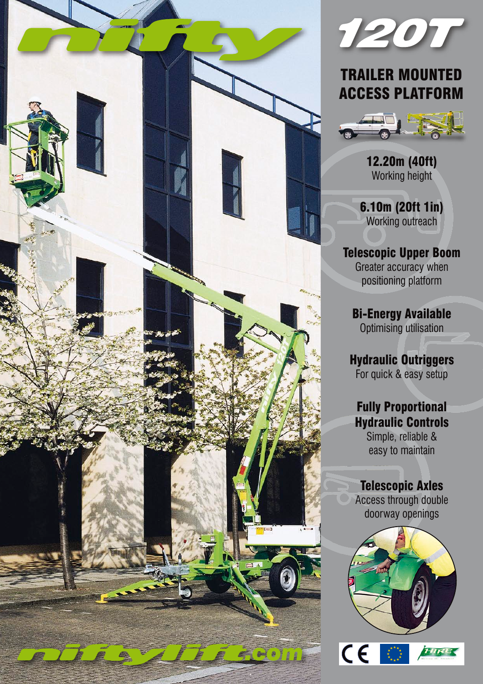



## TRAILER MOUNTED ACCESS PLATFORM



12.20m (40ft) Working height

6.10m (20ft 1in) Working outreach

Telescopic Upper Boom Greater accuracy when positioning platform

Bi-Energy Available Optimising utilisation

Hydraulic Outriggers For quick & easy setup

## Fully Proportional Hydraulic Controls

Simple, reliable & easy to maintain

### Telescopic Axles

Access through double doorway openings